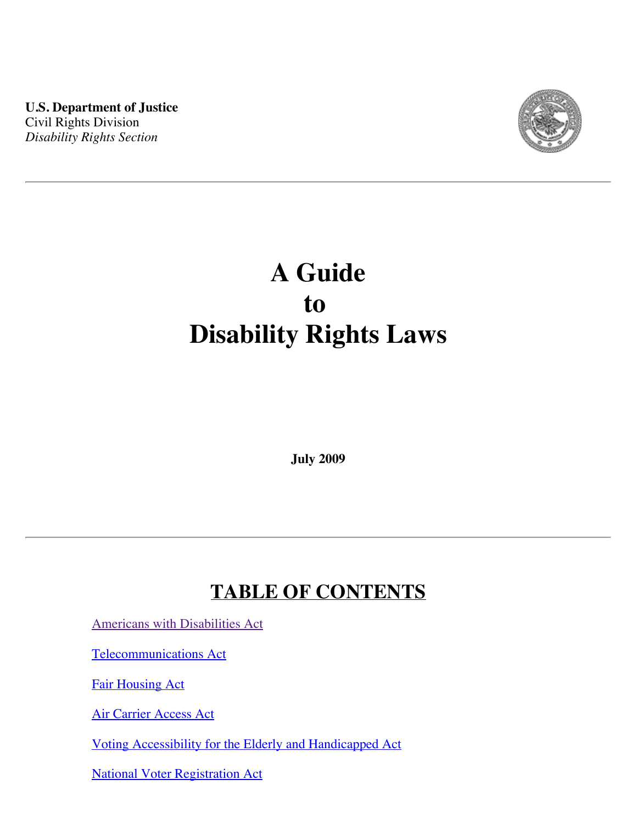**U.S. Department of Justice** Civil Rights Division *Disability Rights Section*



# **A Guide to Disability Rights Laws**

**July 2009**

# **TABLE OF CONTENTS**

[Americans with Disabilities Act](http://www.ada.gov/cguide.htm#anchor62335)

[Telecommunications Act](http://www.ada.gov/cguide.htm#anchor63109)

[Fair Housing Act](http://www.ada.gov/cguide.htm#anchor63409)

[Air Carrier Access Act](http://www.ada.gov/cguide.htm#anchor63814)

[Voting Accessibility for the Elderly and Handicapped Act](http://www.ada.gov/cguide.htm#anchor64292)

[National Voter Registration Act](http://www.ada.gov/cguide.htm#anchor64645)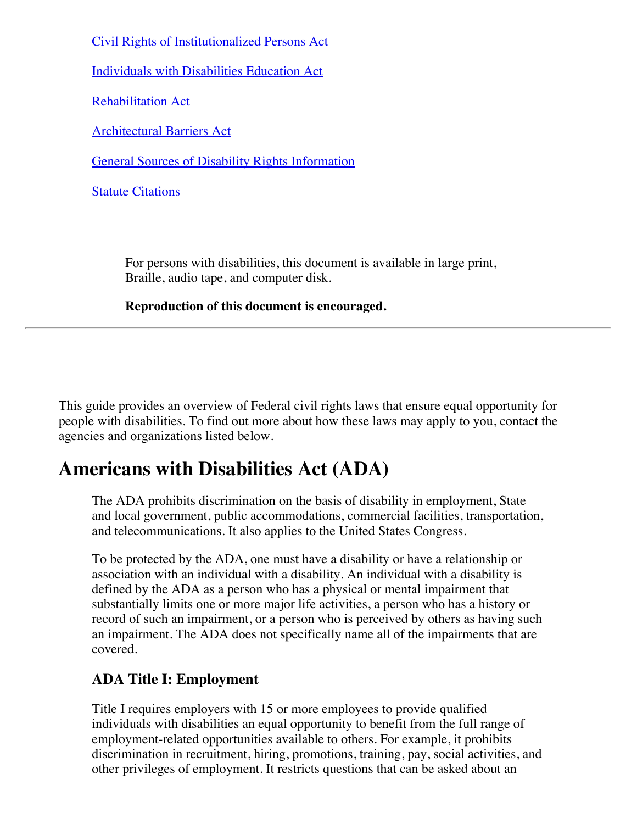[Civil Rights of Institutionalized Persons Act](http://www.ada.gov/cguide.htm#anchor64984) [Individuals with Disabilities Education Act](http://www.ada.gov/cguide.htm#anchor65310)

[Rehabilitation Act](http://www.ada.gov/cguide.htm#anchor65610)

[Architectural Barriers Act](http://www.ada.gov/cguide.htm#anchor66055)

[General Sources of Disability Rights Information](http://www.ada.gov/cguide.htm#anchor66477)

[Statute Citations](http://www.ada.gov/cguide.htm#anchor66738)

For persons with disabilities, this document is available in large print, Braille, audio tape, and computer disk.

**Reproduction of this document is encouraged.**

This guide provides an overview of Federal civil rights laws that ensure equal opportunity for people with disabilities. To find out more about how these laws may apply to you, contact the agencies and organizations listed below.

# **Americans with Disabilities Act (ADA)**

The ADA prohibits discrimination on the basis of disability in employment, State and local government, public accommodations, commercial facilities, transportation, and telecommunications. It also applies to the United States Congress.

To be protected by the ADA, one must have a disability or have a relationship or association with an individual with a disability. An individual with a disability is defined by the ADA as a person who has a physical or mental impairment that substantially limits one or more major life activities, a person who has a history or record of such an impairment, or a person who is perceived by others as having such an impairment. The ADA does not specifically name all of the impairments that are covered.

### **ADA Title I: Employment**

Title I requires employers with 15 or more employees to provide qualified individuals with disabilities an equal opportunity to benefit from the full range of employment-related opportunities available to others. For example, it prohibits discrimination in recruitment, hiring, promotions, training, pay, social activities, and other privileges of employment. It restricts questions that can be asked about an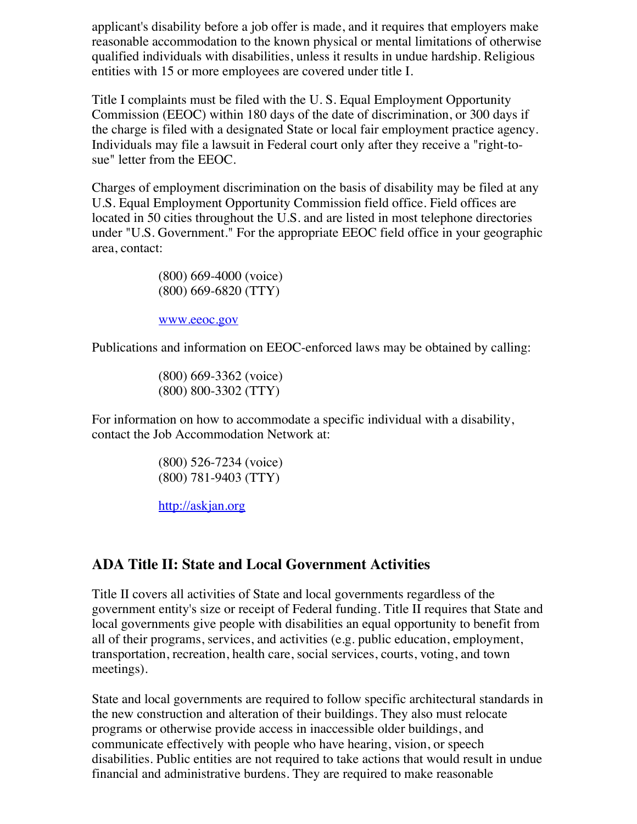applicant's disability before a job offer is made, and it requires that employers make reasonable accommodation to the known physical or mental limitations of otherwise qualified individuals with disabilities, unless it results in undue hardship. Religious entities with 15 or more employees are covered under title I.

Title I complaints must be filed with the U. S. Equal Employment Opportunity Commission (EEOC) within 180 days of the date of discrimination, or 300 days if the charge is filed with a designated State or local fair employment practice agency. Individuals may file a lawsuit in Federal court only after they receive a "right-tosue" letter from the EEOC.

Charges of employment discrimination on the basis of disability may be filed at any U.S. Equal Employment Opportunity Commission field office. Field offices are located in 50 cities throughout the U.S. and are listed in most telephone directories under "U.S. Government." For the appropriate EEOC field office in your geographic area, contact:

> (800) 669-4000 (voice) (800) 669-6820 (TTY)

[www.eeoc.gov](http://www.eeoc.gov/)

Publications and information on EEOC-enforced laws may be obtained by calling:

(800) 669-3362 (voice) (800) 800-3302 (TTY)

For information on how to accommodate a specific individual with a disability, contact the Job Accommodation Network at:

> (800) 526-7234 (voice) (800) 781-9403 (TTY)

[http://askjan.org](http://www.usdoj.gov/cgi-bin/outside.cgi?http://askjan.org)

#### **ADA Title II: State and Local Government Activities**

Title II covers all activities of State and local governments regardless of the government entity's size or receipt of Federal funding. Title II requires that State and local governments give people with disabilities an equal opportunity to benefit from all of their programs, services, and activities (e.g. public education, employment, transportation, recreation, health care, social services, courts, voting, and town meetings).

State and local governments are required to follow specific architectural standards in the new construction and alteration of their buildings. They also must relocate programs or otherwise provide access in inaccessible older buildings, and communicate effectively with people who have hearing, vision, or speech disabilities. Public entities are not required to take actions that would result in undue financial and administrative burdens. They are required to make reasonable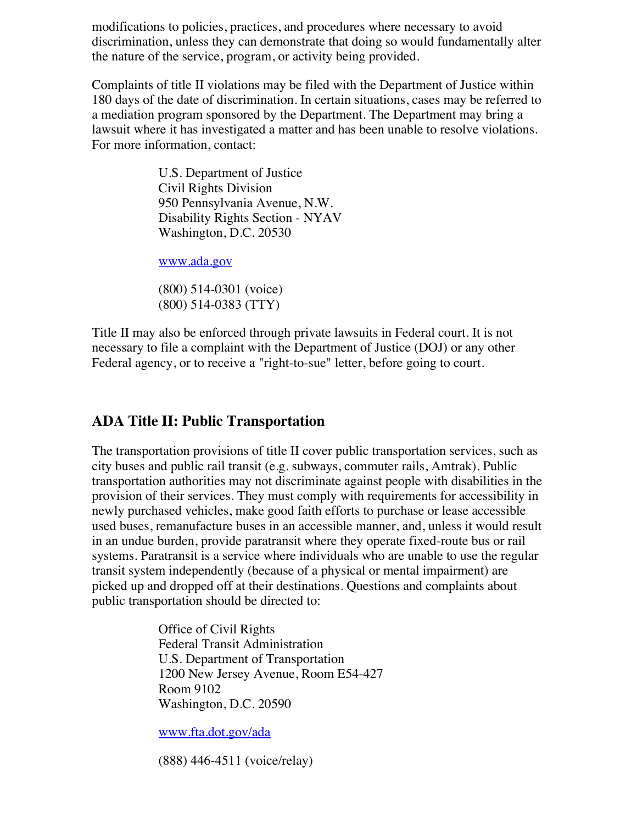modifications to policies, practices, and procedures where necessary to avoid discrimination, unless they can demonstrate that doing so would fundamentally alter the nature of the service, program, or activity being provided.

Complaints of title II violations may be filed with the Department of Justice within 180 days of the date of discrimination. In certain situations, cases may be referred to a mediation program sponsored by the Department. The Department may bring a lawsuit where it has investigated a matter and has been unable to resolve violations. For more information, contact:

> U.S. Department of Justice Civil Rights Division 950 Pennsylvania Avenue, N.W. Disability Rights Section - NYAV Washington, D.C. 20530

[www.ada.gov](http://www.ada.gov/)

(800) 514-0301 (voice) (800) 514-0383 (TTY)

Title II may also be enforced through private lawsuits in Federal court. It is not necessary to file a complaint with the Department of Justice (DOJ) or any other Federal agency, or to receive a "right-to-sue" letter, before going to court.

#### **ADA Title II: Public Transportation**

The transportation provisions of title II cover public transportation services, such as city buses and public rail transit (e.g. subways, commuter rails, Amtrak). Public transportation authorities may not discriminate against people with disabilities in the provision of their services. They must comply with requirements for accessibility in newly purchased vehicles, make good faith efforts to purchase or lease accessible used buses, remanufacture buses in an accessible manner, and, unless it would result in an undue burden, provide paratransit where they operate fixed-route bus or rail systems. Paratransit is a service where individuals who are unable to use the regular transit system independently (because of a physical or mental impairment) are picked up and dropped off at their destinations. Questions and complaints about public transportation should be directed to:

> Office of Civil Rights Federal Transit Administration U.S. Department of Transportation 1200 New Jersey Avenue, Room E54-427 Room 9102 Washington, D.C. 20590

[www.fta.dot.gov/ada](http://www.fta.dot.gov/ada)

(888) 446-4511 (voice/relay)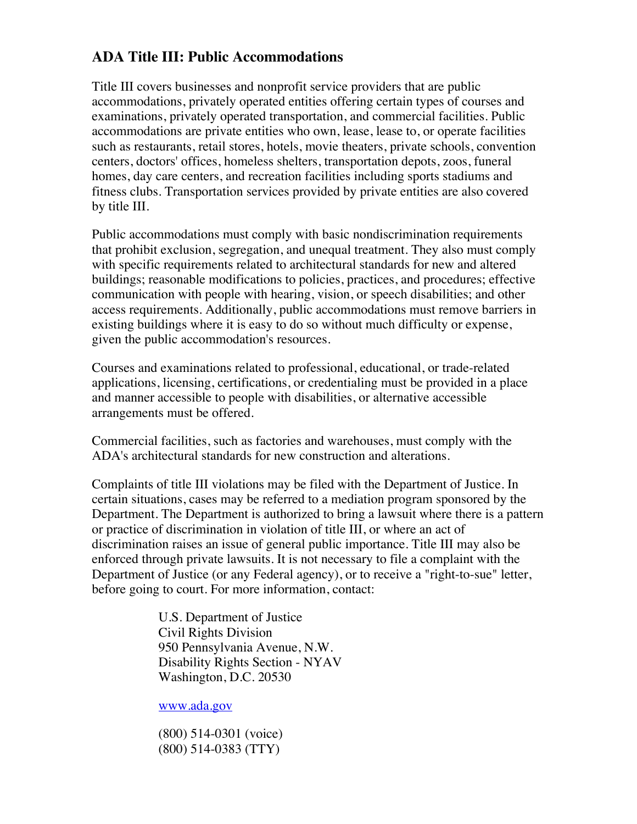#### **ADA Title III: Public Accommodations**

Title III covers businesses and nonprofit service providers that are public accommodations, privately operated entities offering certain types of courses and examinations, privately operated transportation, and commercial facilities. Public accommodations are private entities who own, lease, lease to, or operate facilities such as restaurants, retail stores, hotels, movie theaters, private schools, convention centers, doctors' offices, homeless shelters, transportation depots, zoos, funeral homes, day care centers, and recreation facilities including sports stadiums and fitness clubs. Transportation services provided by private entities are also covered by title III.

Public accommodations must comply with basic nondiscrimination requirements that prohibit exclusion, segregation, and unequal treatment. They also must comply with specific requirements related to architectural standards for new and altered buildings; reasonable modifications to policies, practices, and procedures; effective communication with people with hearing, vision, or speech disabilities; and other access requirements. Additionally, public accommodations must remove barriers in existing buildings where it is easy to do so without much difficulty or expense, given the public accommodation's resources.

Courses and examinations related to professional, educational, or trade-related applications, licensing, certifications, or credentialing must be provided in a place and manner accessible to people with disabilities, or alternative accessible arrangements must be offered.

Commercial facilities, such as factories and warehouses, must comply with the ADA's architectural standards for new construction and alterations.

Complaints of title III violations may be filed with the Department of Justice. In certain situations, cases may be referred to a mediation program sponsored by the Department. The Department is authorized to bring a lawsuit where there is a pattern or practice of discrimination in violation of title III, or where an act of discrimination raises an issue of general public importance. Title III may also be enforced through private lawsuits. It is not necessary to file a complaint with the Department of Justice (or any Federal agency), or to receive a "right-to-sue" letter, before going to court. For more information, contact:

> U.S. Department of Justice Civil Rights Division 950 Pennsylvania Avenue, N.W. Disability Rights Section - NYAV Washington, D.C. 20530

[www.ada.gov](http://www.ada.gov/)

(800) 514-0301 (voice) (800) 514-0383 (TTY)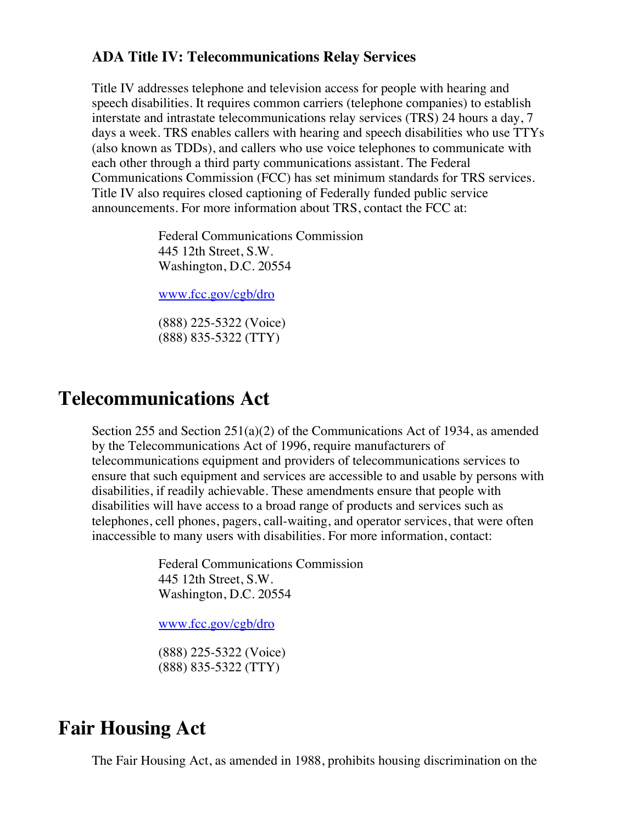#### **ADA Title IV: Telecommunications Relay Services**

Title IV addresses telephone and television access for people with hearing and speech disabilities. It requires common carriers (telephone companies) to establish interstate and intrastate telecommunications relay services (TRS) 24 hours a day, 7 days a week. TRS enables callers with hearing and speech disabilities who use TTYs (also known as TDDs), and callers who use voice telephones to communicate with each other through a third party communications assistant. The Federal Communications Commission (FCC) has set minimum standards for TRS services. Title IV also requires closed captioning of Federally funded public service announcements. For more information about TRS, contact the FCC at:

> Federal Communications Commission 445 12th Street, S.W. Washington, D.C. 20554

[www.fcc.gov/cgb/dro](http://www.fcc.gov/cgb/dro)

(888) 225-5322 (Voice) (888) 835-5322 (TTY)

# **Telecommunications Act**

Section 255 and Section 251(a)(2) of the Communications Act of 1934, as amended by the Telecommunications Act of 1996, require manufacturers of telecommunications equipment and providers of telecommunications services to ensure that such equipment and services are accessible to and usable by persons with disabilities, if readily achievable. These amendments ensure that people with disabilities will have access to a broad range of products and services such as telephones, cell phones, pagers, call-waiting, and operator services, that were often inaccessible to many users with disabilities. For more information, contact:

> Federal Communications Commission 445 12th Street, S.W. Washington, D.C. 20554

[www.fcc.gov/cgb/dro](http://www.fcc.gov/cgb/dro)

(888) 225-5322 (Voice) (888) 835-5322 (TTY)

# **Fair Housing Act**

The Fair Housing Act, as amended in 1988, prohibits housing discrimination on the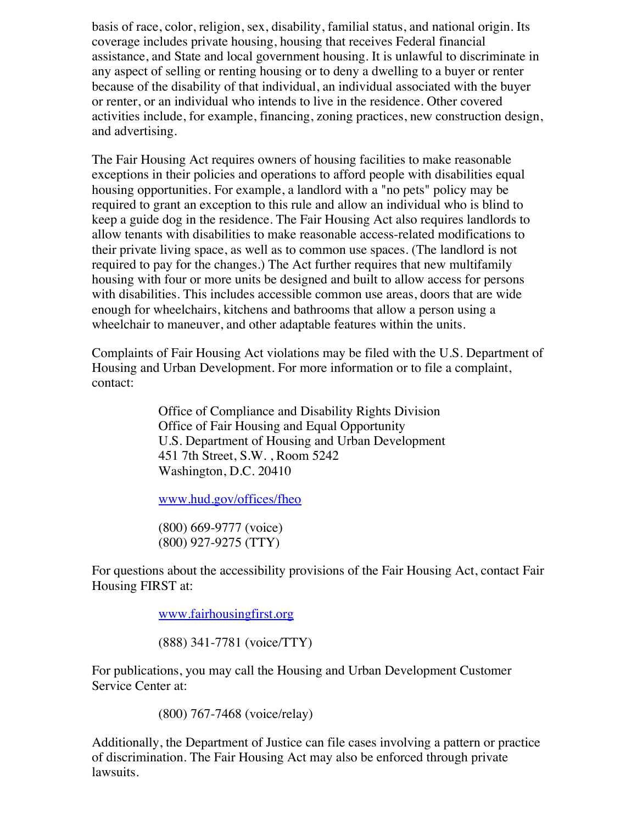basis of race, color, religion, sex, disability, familial status, and national origin. Its coverage includes private housing, housing that receives Federal financial assistance, and State and local government housing. It is unlawful to discriminate in any aspect of selling or renting housing or to deny a dwelling to a buyer or renter because of the disability of that individual, an individual associated with the buyer or renter, or an individual who intends to live in the residence. Other covered activities include, for example, financing, zoning practices, new construction design, and advertising.

The Fair Housing Act requires owners of housing facilities to make reasonable exceptions in their policies and operations to afford people with disabilities equal housing opportunities. For example, a landlord with a "no pets" policy may be required to grant an exception to this rule and allow an individual who is blind to keep a guide dog in the residence. The Fair Housing Act also requires landlords to allow tenants with disabilities to make reasonable access-related modifications to their private living space, as well as to common use spaces. (The landlord is not required to pay for the changes.) The Act further requires that new multifamily housing with four or more units be designed and built to allow access for persons with disabilities. This includes accessible common use areas, doors that are wide enough for wheelchairs, kitchens and bathrooms that allow a person using a wheelchair to maneuver, and other adaptable features within the units.

Complaints of Fair Housing Act violations may be filed with the U.S. Department of Housing and Urban Development. For more information or to file a complaint, contact:

> Office of Compliance and Disability Rights Division Office of Fair Housing and Equal Opportunity U.S. Department of Housing and Urban Development 451 7th Street, S.W. , Room 5242 Washington, D.C. 20410

[www.hud.gov/offices/fheo](http://www.hud.gov/offices/fheo)

(800) 669-9777 (voice) (800) 927-9275 (TTY)

For questions about the accessibility provisions of the Fair Housing Act, contact Fair Housing FIRST at:

[www.fairhousingfirst.org](http://www.usdoj.gov/cgi-bin/outside.cgi?http://www.fairhousingfirst.org)

(888) 341-7781 (voice/TTY)

For publications, you may call the Housing and Urban Development Customer Service Center at:

(800) 767-7468 (voice/relay)

Additionally, the Department of Justice can file cases involving a pattern or practice of discrimination. The Fair Housing Act may also be enforced through private lawsuits.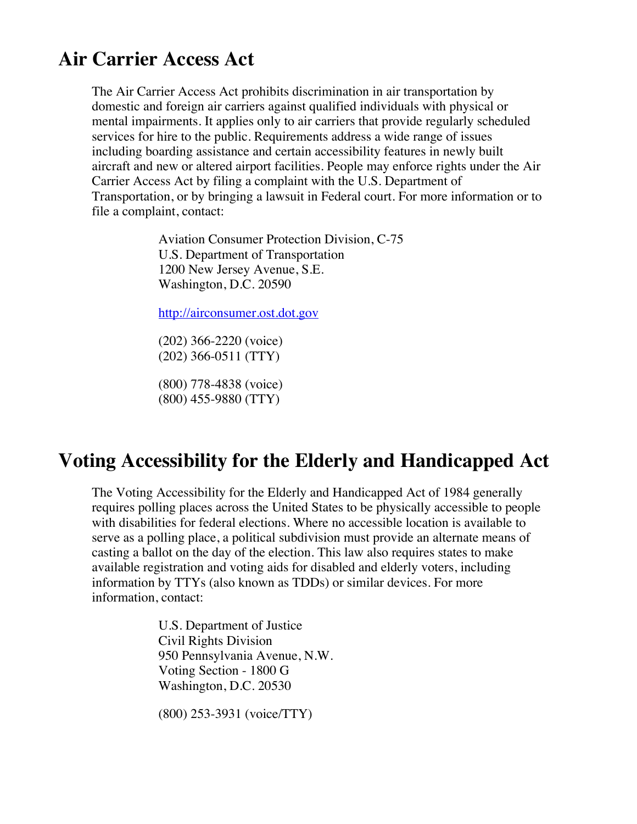# **Air Carrier Access Act**

The Air Carrier Access Act prohibits discrimination in air transportation by domestic and foreign air carriers against qualified individuals with physical or mental impairments. It applies only to air carriers that provide regularly scheduled services for hire to the public. Requirements address a wide range of issues including boarding assistance and certain accessibility features in newly built aircraft and new or altered airport facilities. People may enforce rights under the Air Carrier Access Act by filing a complaint with the U.S. Department of Transportation, or by bringing a lawsuit in Federal court. For more information or to file a complaint, contact:

> Aviation Consumer Protection Division, C-75 U.S. Department of Transportation 1200 New Jersey Avenue, S.E. Washington, D.C. 20590

[http://airconsumer.ost.dot.gov](http://airconsumer.ost.dot.gov/)

(202) 366-2220 (voice) (202) 366-0511 (TTY)

(800) 778-4838 (voice) (800) 455-9880 (TTY)

# **Voting Accessibility for the Elderly and Handicapped Act**

The Voting Accessibility for the Elderly and Handicapped Act of 1984 generally requires polling places across the United States to be physically accessible to people with disabilities for federal elections. Where no accessible location is available to serve as a polling place, a political subdivision must provide an alternate means of casting a ballot on the day of the election. This law also requires states to make available registration and voting aids for disabled and elderly voters, including information by TTYs (also known as TDDs) or similar devices. For more information, contact:

> U.S. Department of Justice Civil Rights Division 950 Pennsylvania Avenue, N.W. Voting Section - 1800 G Washington, D.C. 20530

(800) 253-3931 (voice/TTY)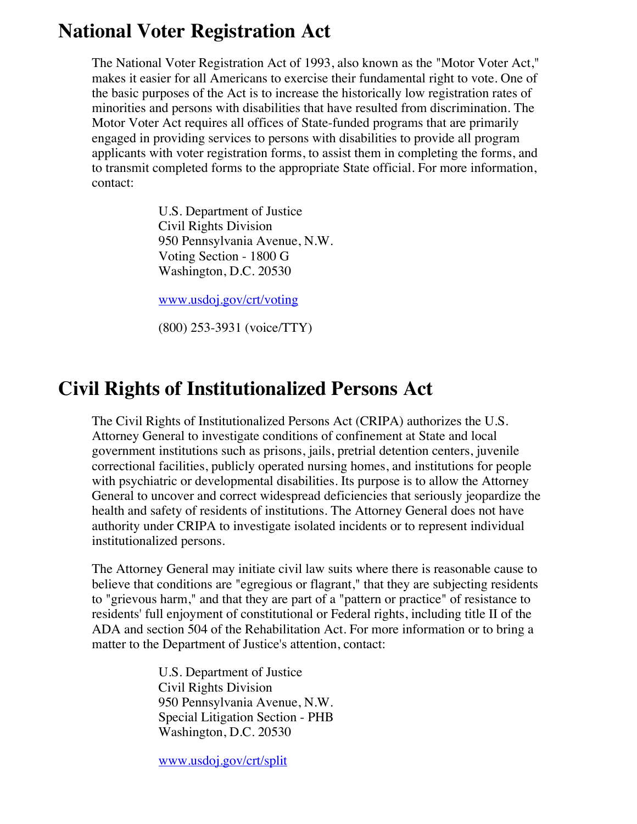# **National Voter Registration Act**

The National Voter Registration Act of 1993, also known as the "Motor Voter Act," makes it easier for all Americans to exercise their fundamental right to vote. One of the basic purposes of the Act is to increase the historically low registration rates of minorities and persons with disabilities that have resulted from discrimination. The Motor Voter Act requires all offices of State-funded programs that are primarily engaged in providing services to persons with disabilities to provide all program applicants with voter registration forms, to assist them in completing the forms, and to transmit completed forms to the appropriate State official. For more information, contact:

> U.S. Department of Justice Civil Rights Division 950 Pennsylvania Avenue, N.W. Voting Section - 1800 G Washington, D.C. 20530

[www.usdoj.gov/crt/voting](http://www.usdoj.gov/crt/voting)

(800) 253-3931 (voice/TTY)

# **Civil Rights of Institutionalized Persons Act**

The Civil Rights of Institutionalized Persons Act (CRIPA) authorizes the U.S. Attorney General to investigate conditions of confinement at State and local government institutions such as prisons, jails, pretrial detention centers, juvenile correctional facilities, publicly operated nursing homes, and institutions for people with psychiatric or developmental disabilities. Its purpose is to allow the Attorney General to uncover and correct widespread deficiencies that seriously jeopardize the health and safety of residents of institutions. The Attorney General does not have authority under CRIPA to investigate isolated incidents or to represent individual institutionalized persons.

The Attorney General may initiate civil law suits where there is reasonable cause to believe that conditions are "egregious or flagrant," that they are subjecting residents to "grievous harm," and that they are part of a "pattern or practice" of resistance to residents' full enjoyment of constitutional or Federal rights, including title II of the ADA and section 504 of the Rehabilitation Act. For more information or to bring a matter to the Department of Justice's attention, contact:

> U.S. Department of Justice Civil Rights Division 950 Pennsylvania Avenue, N.W. Special Litigation Section - PHB Washington, D.C. 20530

[www.usdoj.gov/crt/split](http://www.usdoj.gov/crt/split)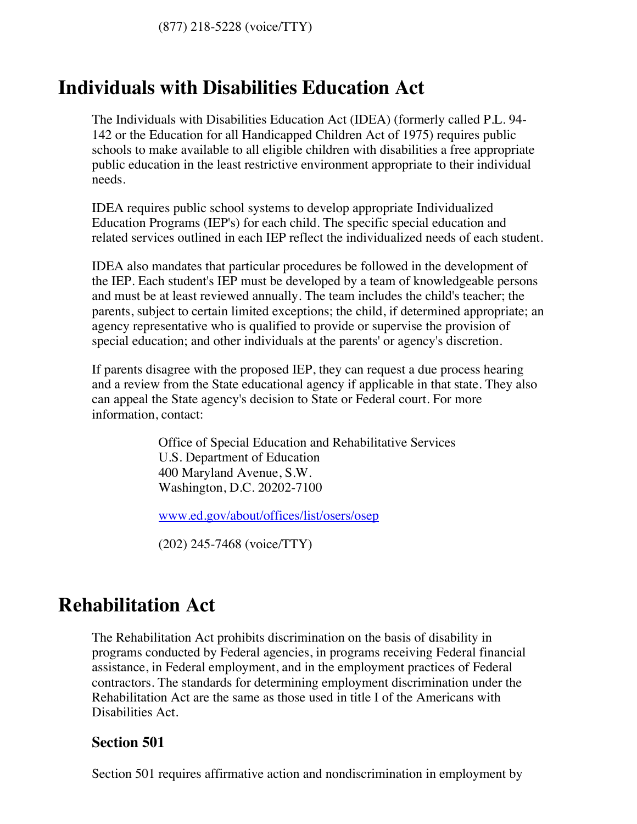(877) 218-5228 (voice/TTY)

### **Individuals with Disabilities Education Act**

The Individuals with Disabilities Education Act (IDEA) (formerly called P.L. 94- 142 or the Education for all Handicapped Children Act of 1975) requires public schools to make available to all eligible children with disabilities a free appropriate public education in the least restrictive environment appropriate to their individual needs.

IDEA requires public school systems to develop appropriate Individualized Education Programs (IEP's) for each child. The specific special education and related services outlined in each IEP reflect the individualized needs of each student.

IDEA also mandates that particular procedures be followed in the development of the IEP. Each student's IEP must be developed by a team of knowledgeable persons and must be at least reviewed annually. The team includes the child's teacher; the parents, subject to certain limited exceptions; the child, if determined appropriate; an agency representative who is qualified to provide or supervise the provision of special education; and other individuals at the parents' or agency's discretion.

If parents disagree with the proposed IEP, they can request a due process hearing and a review from the State educational agency if applicable in that state. They also can appeal the State agency's decision to State or Federal court. For more information, contact:

> Office of Special Education and Rehabilitative Services U.S. Department of Education 400 Maryland Avenue, S.W. Washington, D.C. 20202-7100

[www.ed.gov/about/offices/list/osers/osep](http://www.ed.gov/about/offices/list/osers/osep)

(202) 245-7468 (voice/TTY)

### **Rehabilitation Act**

The Rehabilitation Act prohibits discrimination on the basis of disability in programs conducted by Federal agencies, in programs receiving Federal financial assistance, in Federal employment, and in the employment practices of Federal contractors. The standards for determining employment discrimination under the Rehabilitation Act are the same as those used in title I of the Americans with Disabilities Act.

#### **Section 501**

Section 501 requires affirmative action and nondiscrimination in employment by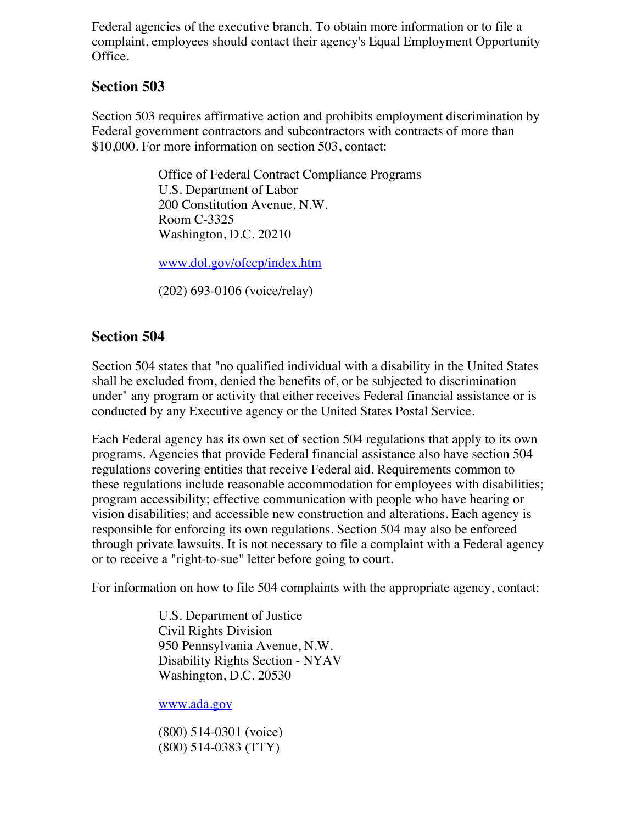Federal agencies of the executive branch. To obtain more information or to file a complaint, employees should contact their agency's Equal Employment Opportunity Office.

#### **Section 503**

Section 503 requires affirmative action and prohibits employment discrimination by Federal government contractors and subcontractors with contracts of more than \$10,000. For more information on section 503, contact:

> Office of Federal Contract Compliance Programs U.S. Department of Labor 200 Constitution Avenue, N.W. Room C-3325 Washington, D.C. 20210

[www.dol.gov/ofccp/index.htm](http://www.dol.gov/ofccp/index.htm)

(202) 693-0106 (voice/relay)

#### **Section 504**

Section 504 states that "no qualified individual with a disability in the United States shall be excluded from, denied the benefits of, or be subjected to discrimination under" any program or activity that either receives Federal financial assistance or is conducted by any Executive agency or the United States Postal Service.

Each Federal agency has its own set of section 504 regulations that apply to its own programs. Agencies that provide Federal financial assistance also have section 504 regulations covering entities that receive Federal aid. Requirements common to these regulations include reasonable accommodation for employees with disabilities; program accessibility; effective communication with people who have hearing or vision disabilities; and accessible new construction and alterations. Each agency is responsible for enforcing its own regulations. Section 504 may also be enforced through private lawsuits. It is not necessary to file a complaint with a Federal agency or to receive a "right-to-sue" letter before going to court.

For information on how to file 504 complaints with the appropriate agency, contact:

U.S. Department of Justice Civil Rights Division 950 Pennsylvania Avenue, N.W. Disability Rights Section - NYAV Washington, D.C. 20530

[www.ada.gov](http://www.ada.gov/)

(800) 514-0301 (voice) (800) 514-0383 (TTY)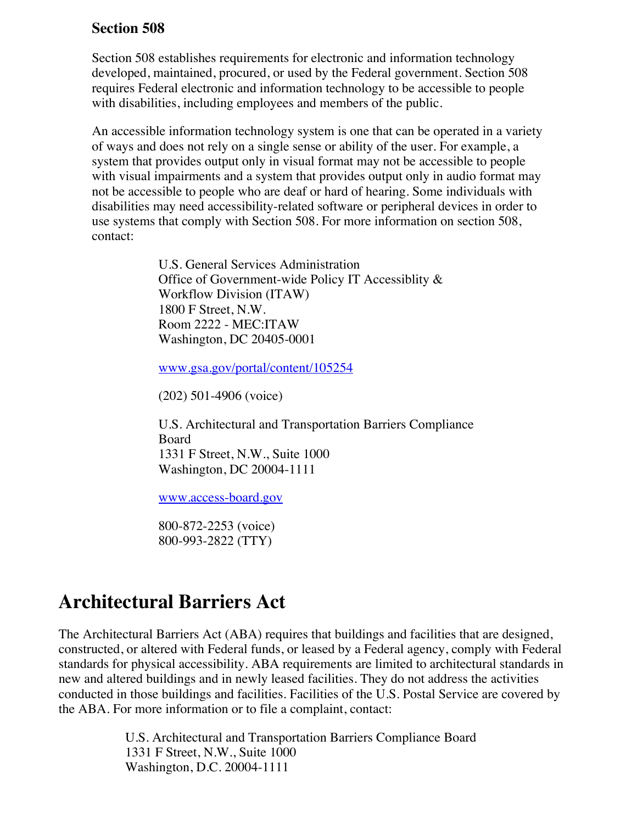#### **Section 508**

Section 508 establishes requirements for electronic and information technology developed, maintained, procured, or used by the Federal government. Section 508 requires Federal electronic and information technology to be accessible to people with disabilities, including employees and members of the public.

An accessible information technology system is one that can be operated in a variety of ways and does not rely on a single sense or ability of the user. For example, a system that provides output only in visual format may not be accessible to people with visual impairments and a system that provides output only in audio format may not be accessible to people who are deaf or hard of hearing. Some individuals with disabilities may need accessibility-related software or peripheral devices in order to use systems that comply with Section 508. For more information on section 508, contact:

> U.S. General Services Administration Office of Government-wide Policy IT Accessiblity & Workflow Division (ITAW) 1800 F Street, N.W. Room 2222 - MEC:ITAW Washington, DC 20405-0001

[www.gsa.gov/portal/content/105254](http://www.gsa.gov/portal/content/105254)

(202) 501-4906 (voice)

U.S. Architectural and Transportation Barriers Compliance Board 1331 F Street, N.W., Suite 1000 Washington, DC 20004-1111

[www.access-board.gov](http://www.access-board.gov/)

800-872-2253 (voice) 800-993-2822 (TTY)

# **Architectural Barriers Act**

The Architectural Barriers Act (ABA) requires that buildings and facilities that are designed, constructed, or altered with Federal funds, or leased by a Federal agency, comply with Federal standards for physical accessibility. ABA requirements are limited to architectural standards in new and altered buildings and in newly leased facilities. They do not address the activities conducted in those buildings and facilities. Facilities of the U.S. Postal Service are covered by the ABA. For more information or to file a complaint, contact:

> U.S. Architectural and Transportation Barriers Compliance Board 1331 F Street, N.W., Suite 1000 Washington, D.C. 20004-1111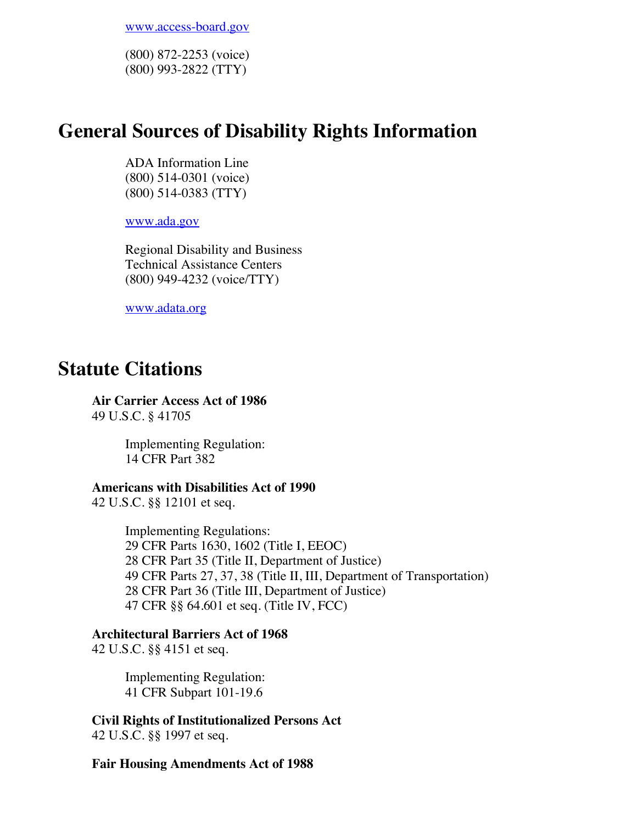[www.access-board.gov](http://www.access-board.gov/)

(800) 872-2253 (voice) (800) 993-2822 (TTY)

### **General Sources of Disability Rights Information**

ADA Information Line (800) 514-0301 (voice) (800) 514-0383 (TTY)

[www.ada.gov](http://www.ada.gov/)

Regional Disability and Business Technical Assistance Centers (800) 949-4232 (voice/TTY)

[www.adata.org](http://www.usdoj.gov/cgi-bin/outside.cgi?http://www.adata.org)

### **Statute Citations**

**Air Carrier Access Act of 1986**  49 U.S.C. § 41705

> Implementing Regulation: 14 CFR Part 382

#### **Americans with Disabilities Act of 1990**

42 U.S.C. §§ 12101 et seq.

Implementing Regulations: 29 CFR Parts 1630, 1602 (Title I, EEOC) 28 CFR Part 35 (Title II, Department of Justice) 49 CFR Parts 27, 37, 38 (Title II, III, Department of Transportation) 28 CFR Part 36 (Title III, Department of Justice) 47 CFR §§ 64.601 et seq. (Title IV, FCC)

#### **Architectural Barriers Act of 1968**

42 U.S.C. §§ 4151 et seq.

Implementing Regulation: 41 CFR Subpart 101-19.6

**Civil Rights of Institutionalized Persons Act** 42 U.S.C. §§ 1997 et seq.

#### **Fair Housing Amendments Act of 1988**